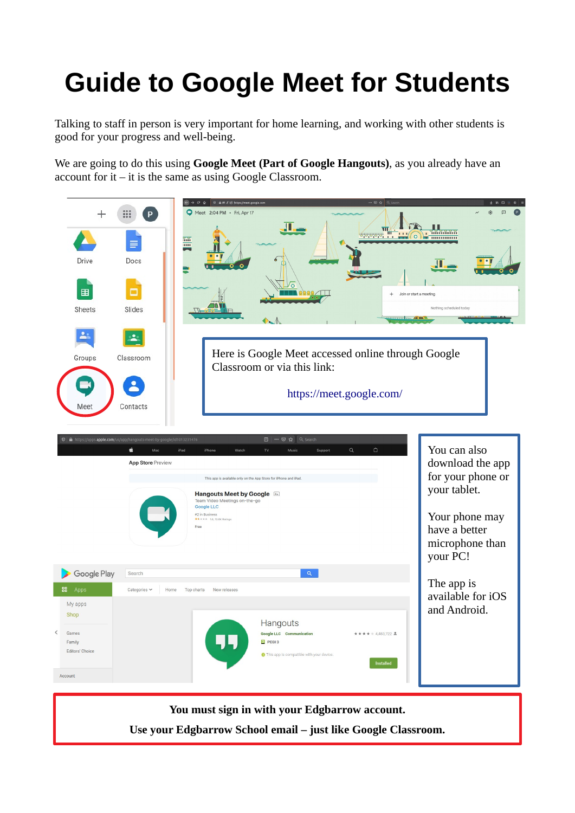## **Guide to Google Meet for Students**

Talking to staff in person is very important for home learning, and working with other students is good for your progress and well-being.

We are going to do this using **Google Meet (Part of Google Hangouts)**, as you already have an account for it – it is the same as using Google Classroom.

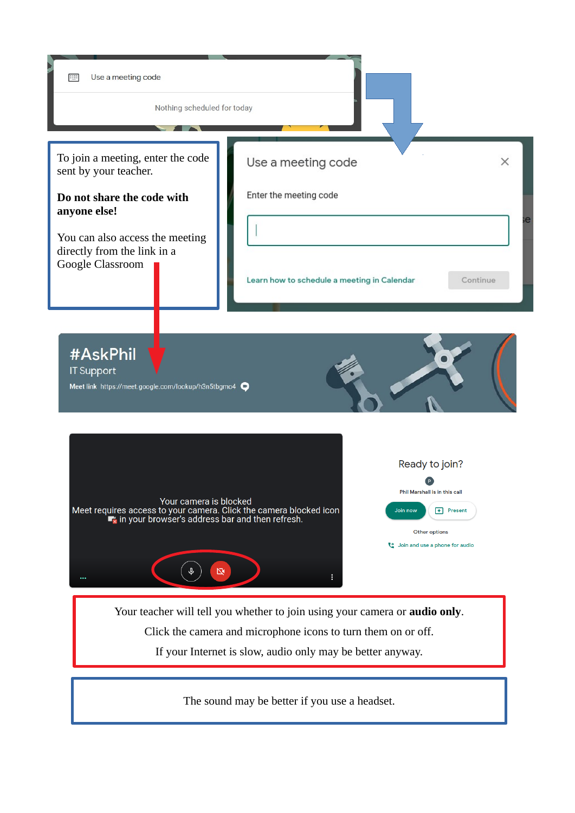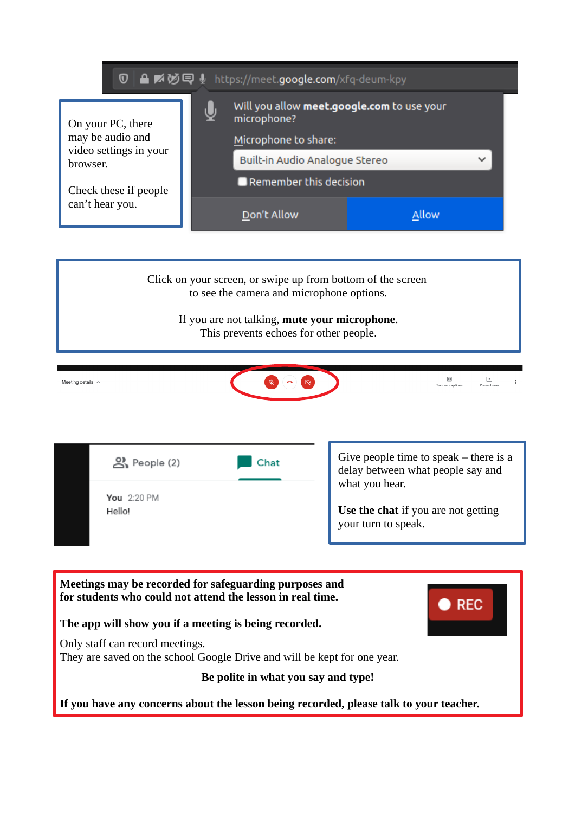